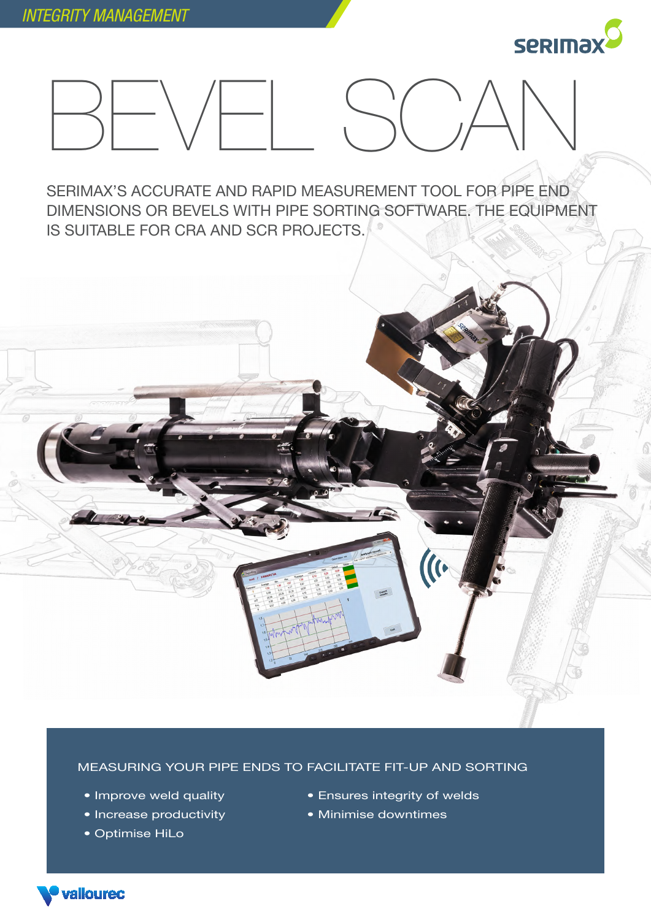



SERIMAX'S ACCURATE AND RAPID MEASUREMENT TOOL FOR PIPE END DIMENSIONS OR BEVELS WITH PIPE SORTING SOFTWARE. THE EQUIPMENT IS SUITABLE FOR CRA AND SCR PROJECTS.



MEASURING YOUR PIPE ENDS TO FACILITATE FIT-UP AND SORTING

- Improve weld quality
- Increase productivity
- Optimise HiLo

valloured

- Ensures integrity of welds
- Minimise downtimes